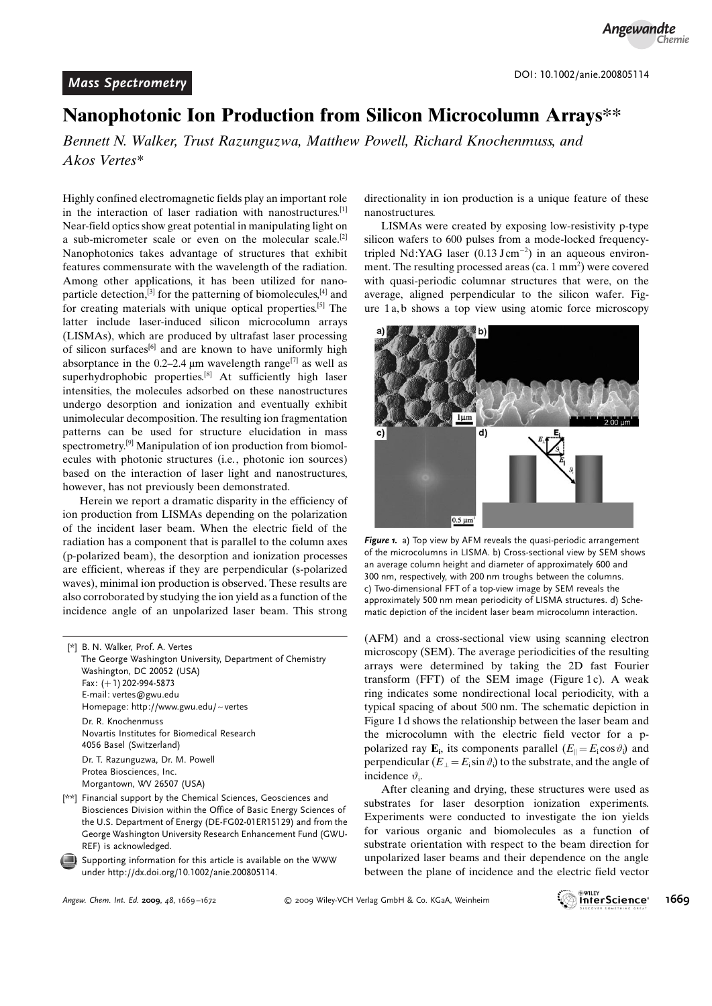## Nanophotonic Ion Production from Silicon Microcolumn Arrays\*\*

Bennett N. Walker, Trust Razunguzwa, Matthew Powell, Richard Knochenmuss, and Akos Vertes\*

Highly confined electromagnetic fields play an important role in the interaction of laser radiation with nanostructures.<sup>[1]</sup> Near-field optics show great potential in manipulating light on a sub-micrometer scale or even on the molecular scale.<sup>[2]</sup> Nanophotonics takes advantage of structures that exhibit features commensurate with the wavelength of the radiation. Among other applications, it has been utilized for nanoparticle detection,<sup>[3]</sup> for the patterning of biomolecules, $[4]$  and for creating materials with unique optical properties.[5] The latter include laser-induced silicon microcolumn arrays (LISMAs), which are produced by ultrafast laser processing of silicon surfaces<sup>[6]</sup> and are known to have uniformly high absorptance in the 0.2–2.4  $\mu$ m wavelength range<sup>[7]</sup> as well as superhydrophobic properties.<sup>[8]</sup> At sufficiently high laser intensities, the molecules adsorbed on these nanostructures undergo desorption and ionization and eventually exhibit unimolecular decomposition. The resulting ion fragmentation patterns can be used for structure elucidation in mass spectrometry.[9] Manipulation of ion production from biomolecules with photonic structures (i.e., photonic ion sources) based on the interaction of laser light and nanostructures, however, has not previously been demonstrated.

Herein we report a dramatic disparity in the efficiency of ion production from LISMAs depending on the polarization of the incident laser beam. When the electric field of the radiation has a component that is parallel to the column axes (p-polarized beam), the desorption and ionization processes are efficient, whereas if they are perpendicular (s-polarized waves), minimal ion production is observed. These results are also corroborated by studying the ion yield as a function of the incidence angle of an unpolarized laser beam. This strong

[\*] B. N. Walker, Prof. A. Vertes The George Washington University, Department of Chemistry Washington, DC 20052 (USA) Fax: (+1) 202-994-5873 E-mail: vertes@gwu.edu Homepage: http://www.gwu.edu/~vertes Dr. R. Knochenmuss Novartis Institutes for Biomedical Research 4056 Basel (Switzerland) Dr. T. Razunguzwa, Dr. M. Powell Protea Biosciences, Inc. Morgantown, WV 26507 (USA)

[\*\*] Financial support by the Chemical Sciences, Geosciences and Biosciences Division within the Office of Basic Energy Sciences of the U.S. Department of Energy (DE-FG02-01ER15129) and from the George Washington University Research Enhancement Fund (GWU-REF) is acknowledged.

Supporting information for this article is available on the WWW under<http://dx.doi.org/10.1002/anie.200805114>.

directionality in ion production is a unique feature of these nanostructures.

LISMAs were created by exposing low-resistivity p-type silicon wafers to 600 pulses from a mode-locked frequencytripled Nd:YAG laser  $(0.13 \text{ J cm}^{-2})$  in an aqueous environment. The resulting processed areas (ca.  $1 \text{ mm}^2$ ) were covered with quasi-periodic columnar structures that were, on the average, aligned perpendicular to the silicon wafer. Figure 1 a, b shows a top view using atomic force microscopy



Figure 1. a) Top view by AFM reveals the quasi-periodic arrangement of the microcolumns in LISMA. b) Cross-sectional view by SEM shows an average column height and diameter of approximately 600 and 300 nm, respectively, with 200 nm troughs between the columns. c) Two-dimensional FFT of a top-view image by SEM reveals the approximately 500 nm mean periodicity of LISMA structures. d) Schematic depiction of the incident laser beam microcolumn interaction.

(AFM) and a cross-sectional view using scanning electron microscopy (SEM). The average periodicities of the resulting arrays were determined by taking the 2D fast Fourier transform (FFT) of the SEM image (Figure 1c). A weak ring indicates some nondirectional local periodicity, with a typical spacing of about 500 nm. The schematic depiction in Figure 1 d shows the relationship between the laser beam and the microcolumn with the electric field vector for a ppolarized ray  $\mathbf{E}_i$ , its components parallel  $(E_{\parallel} = E_i \cos \vartheta_i)$  and perpendicular ( $E_{\perp} = E_i \sin \vartheta_i$ ) to the substrate, and the angle of incidence  $\vartheta_i$ .

After cleaning and drying, these structures were used as substrates for laser desorption ionization experiments. Experiments were conducted to investigate the ion yields for various organic and biomolecules as a function of substrate orientation with respect to the beam direction for unpolarized laser beams and their dependence on the angle between the plane of incidence and the electric field vector

Angew. Chem. Int. Ed. 2009, 48, 1669-1672

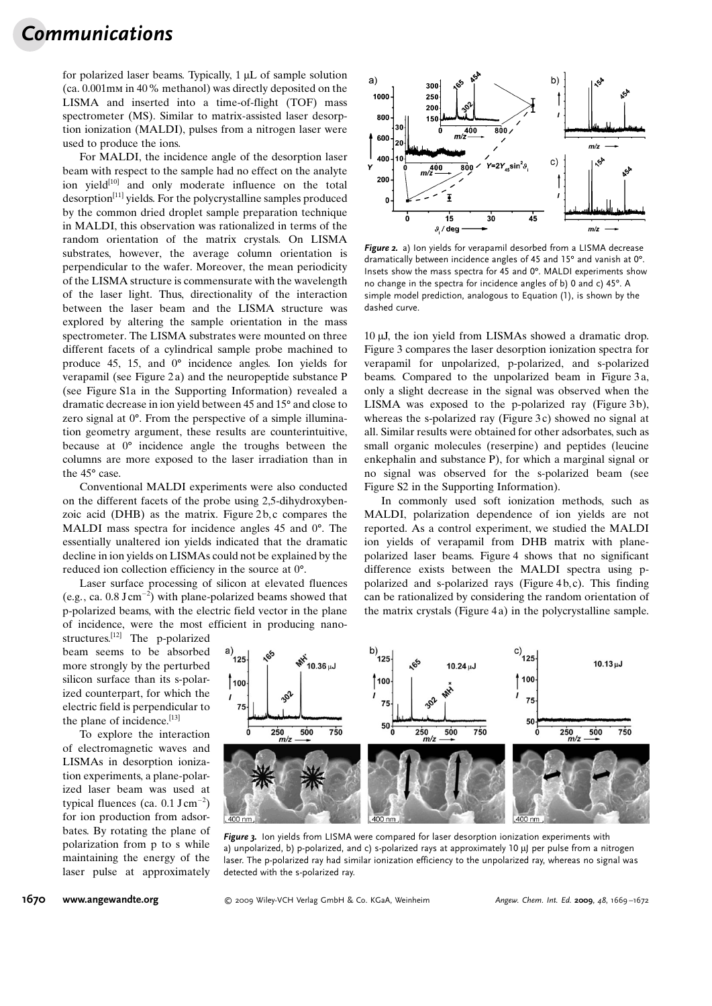## Communications

for polarized laser beams. Typically,  $1 \mu L$  of sample solution (ca. 0.001mm in 40% methanol) was directly deposited on the LISMA and inserted into a time-of-flight (TOF) mass spectrometer (MS). Similar to matrix-assisted laser desorption ionization (MALDI), pulses from a nitrogen laser were used to produce the ions.

For MALDI, the incidence angle of the desorption laser beam with respect to the sample had no effect on the analyte ion yield $[10]$  and only moderate influence on the total desorption[11] yields. For the polycrystalline samples produced by the common dried droplet sample preparation technique in MALDI, this observation was rationalized in terms of the random orientation of the matrix crystals. On LISMA substrates, however, the average column orientation is perpendicular to the wafer. Moreover, the mean periodicity of the LISMA structure is commensurate with the wavelength of the laser light. Thus, directionality of the interaction between the laser beam and the LISMA structure was explored by altering the sample orientation in the mass spectrometer. The LISMA substrates were mounted on three different facets of a cylindrical sample probe machined to produce 45, 15, and  $0^{\circ}$  incidence angles. Ion yields for verapamil (see Figure 2 a) and the neuropeptide substance P (see Figure S1a in the Supporting Information) revealed a dramatic decrease in ion yield between 45 and 15<sup>°</sup> and close to zero signal at  $0^\circ$ . From the perspective of a simple illumination geometry argument, these results are counterintuitive, because at  $0^{\circ}$  incidence angle the troughs between the columns are more exposed to the laser irradiation than in the  $45^\circ$  case.

Conventional MALDI experiments were also conducted on the different facets of the probe using 2,5-dihydroxybenzoic acid (DHB) as the matrix. Figure 2 b, c compares the MALDI mass spectra for incidence angles  $45$  and  $0^\circ$ . The essentially unaltered ion yields indicated that the dramatic decline in ion yields on LISMAs could not be explained by the reduced ion collection efficiency in the source at  $0^{\circ}$ .

Laser surface processing of silicon at elevated fluences (e.g., ca.  $0.8 \text{ J cm}^{-2}$ ) with plane-polarized beams showed that p-polarized beams, with the electric field vector in the plane of incidence, were the most efficient in producing nano-

structures.[12] The p-polarized beam seems to be absorbed more strongly by the perturbed silicon surface than its s-polarized counterpart, for which the electric field is perpendicular to the plane of incidence.[13]

To explore the interaction of electromagnetic waves and LISMAs in desorption ionization experiments, a plane-polarized laser beam was used at typical fluences (ca.  $0.1 \text{ J cm}^{-2}$ ) for ion production from adsorbates. By rotating the plane of polarization from p to s while maintaining the energy of the laser pulse at approximately



Figure 2. a) Ion yields for verapamil desorbed from a LISMA decrease dramatically between incidence angles of 45 and 15° and vanish at 0°. Insets show the mass spectra for 45 and 0°. MALDI experiments show no change in the spectra for incidence angles of b) 0 and c) 45°. A simple model prediction, analogous to Equation (1), is shown by the dashed curve.

10  $\mu$ J, the ion yield from LISMAs showed a dramatic drop. Figure 3 compares the laser desorption ionization spectra for verapamil for unpolarized, p-polarized, and s-polarized beams. Compared to the unpolarized beam in Figure 3a, only a slight decrease in the signal was observed when the LISMA was exposed to the p-polarized ray (Figure 3b), whereas the s-polarized ray (Figure 3c) showed no signal at all. Similar results were obtained for other adsorbates, such as small organic molecules (reserpine) and peptides (leucine enkephalin and substance P), for which a marginal signal or no signal was observed for the s-polarized beam (see Figure S2 in the Supporting Information).

In commonly used soft ionization methods, such as MALDI, polarization dependence of ion yields are not reported. As a control experiment, we studied the MALDI ion yields of verapamil from DHB matrix with planepolarized laser beams. Figure 4 shows that no significant difference exists between the MALDI spectra using ppolarized and s-polarized rays (Figure 4 b, c). This finding can be rationalized by considering the random orientation of the matrix crystals (Figure 4 a) in the polycrystalline sample.



Figure 3. Ion vields from LISMA were compared for laser desorption ionization experiments with a) unpolarized, b) p-polarized, and c) s-polarized rays at approximately  $10 \mu$  per pulse from a nitrogen laser. The p-polarized ray had similar ionization efficiency to the unpolarized ray, whereas no signal was detected with the s-polarized ray.

**1670 [www.angewandte.org](http://www.angewandte.org)** 6 2009 Wiley-VCH Verlag GmbH & Co. KGaA, Weinheim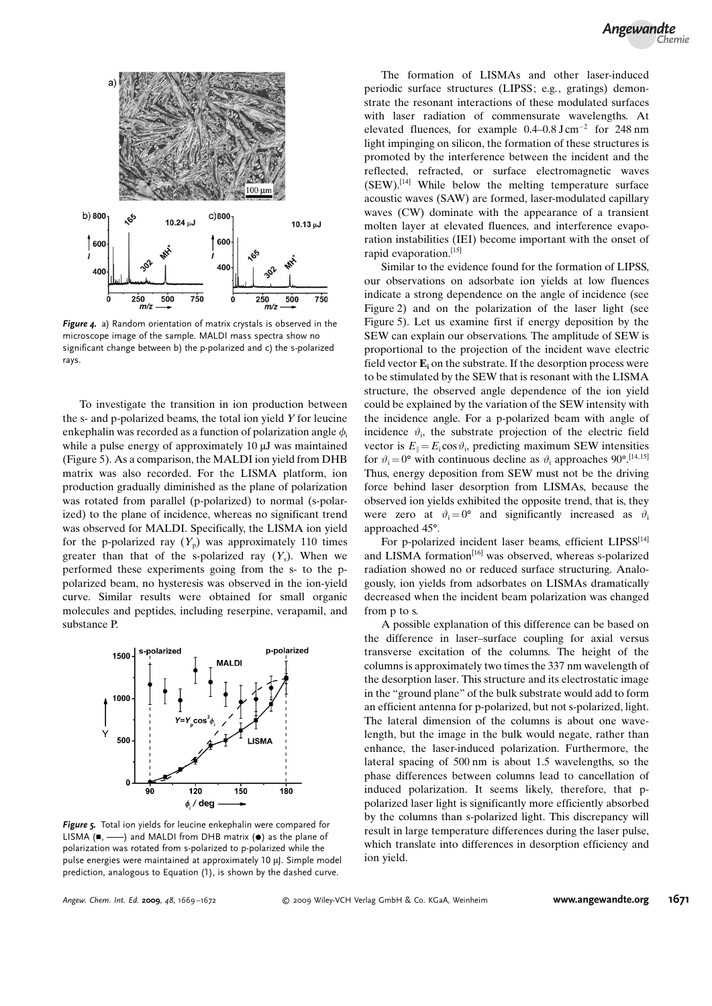

Figure 4. a) Random orientation of matrix crystals is observed in the microscope image of the sample. MALDI mass spectra show no significant change between b) the p-polarized and c) the s-polarized rays.

To investigate the transition in ion production between the s- and p-polarized beams, the total ion yield Y for leucine enkephalin was recorded as a function of polarization angle  $\phi_i$ while a pulse energy of approximately  $10 \mu$ J was maintained (Figure 5). As a comparison, the MALDI ion yield from DHB matrix was also recorded. For the LISMA platform, ion production gradually diminished as the plane of polarization was rotated from parallel (p-polarized) to normal (s-polarized) to the plane of incidence, whereas no significant trend was observed for MALDI. Specifically, the LISMA ion yield for the p-polarized ray  $(Y_p)$  was approximately 110 times greater than that of the s-polarized ray  $(Y_s)$ . When we performed these experiments going from the s- to the ppolarized beam, no hysteresis was observed in the ion-yield curve. Similar results were obtained for small organic molecules and peptides, including reserpine, verapamil, and substance P.



Figure 5. Total ion yields for leucine enkephalin were compared for LISMA ( $\blacksquare$ ,  $\longrightarrow$ ) and MALDI from DHB matrix ( $\lozenge$ ) as the plane of polarization was rotated from s-polarized to p-polarized while the pulse energies were maintained at approximately  $10 \mu$ J. Simple model prediction, analogous to Equation (1), is shown by the dashed curve.

The formation of LISMAs and other laser-induced periodic surface structures (LIPSS; e.g., gratings) demonstrate the resonant interactions of these modulated surfaces with laser radiation of commensurate wavelengths. At elevated fluences, for example  $0.4-0.8 \text{ J cm}^{-2}$  for 248 nm light impinging on silicon, the formation of these structures is promoted by the interference between the incident and the reflected, refracted, or surface electromagnetic waves  $(SEW)$ .<sup>[14]</sup> While below the melting temperature surface acoustic waves (SAW) are formed, laser-modulated capillary waves (CW) dominate with the appearance of a transient molten layer at elevated fluences, and interference evaporation instabilities (IEI) become important with the onset of rapid evaporation.[15]

Similar to the evidence found for the formation of LIPSS, our observations on adsorbate ion yields at low fluences indicate a strong dependence on the angle of incidence (see Figure 2) and on the polarization of the laser light (see Figure 5). Let us examine first if energy deposition by the SEW can explain our observations. The amplitude of SEW is proportional to the projection of the incident wave electric field vector  $\mathbf{E}_i$  on the substrate. If the desorption process were to be stimulated by the SEW that is resonant with the LISMA structure, the observed angle dependence of the ion yield could be explained by the variation of the SEW intensity with the incidence angle. For a p-polarized beam with angle of incidence  $\vartheta_i$ , the substrate projection of the electric field vector is  $E_{\parallel} = E_i \cos \vartheta_i$ , predicting maximum SEW intensities for  $\vartheta_i = 0^{\circ}$  with continuous decline as  $\vartheta_i$  approaches 90°.<sup>[14,15]</sup> Thus, energy deposition from SEW must not be the driving force behind laser desorption from LISMAs, because the observed ion yields exhibited the opposite trend, that is, they were zero at  $\vartheta_i = 0^\circ$  and significantly increased as  $\vartheta_i$ approached 45°.

For p-polarized incident laser beams, efficient LIPSS<sup>[14]</sup> and LISMA formation<sup>[16]</sup> was observed, whereas s-polarized radiation showed no or reduced surface structuring. Analogously, ion yields from adsorbates on LISMAs dramatically decreased when the incident beam polarization was changed from p to s.

A possible explanation of this difference can be based on the difference in laser–surface coupling for axial versus transverse excitation of the columns. The height of the columns is approximately two times the 337 nm wavelength of the desorption laser. This structure and its electrostatic image in the "ground plane" of the bulk substrate would add to form an efficient antenna for p-polarized, but not s-polarized, light. The lateral dimension of the columns is about one wavelength, but the image in the bulk would negate, rather than enhance, the laser-induced polarization. Furthermore, the lateral spacing of 500 nm is about 1.5 wavelengths, so the phase differences between columns lead to cancellation of induced polarization. It seems likely, therefore, that ppolarized laser light is significantly more efficiently absorbed by the columns than s-polarized light. This discrepancy will result in large temperature differences during the laser pulse, which translate into differences in desorption efficiency and ion yield.